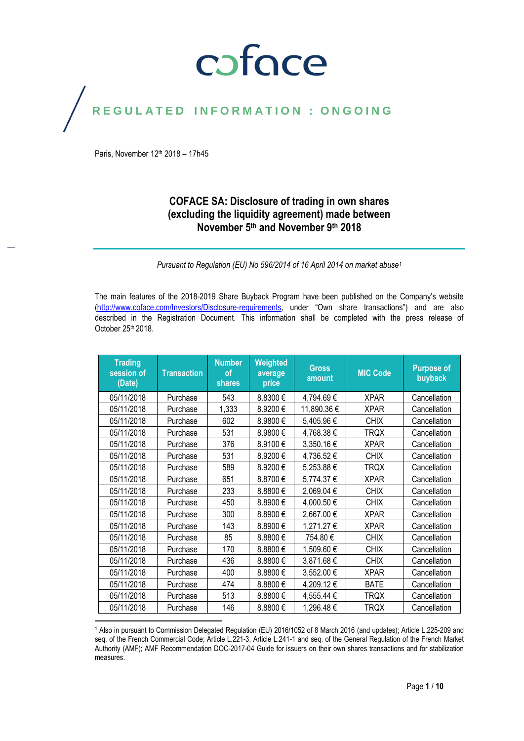## coface

## REGULATED INFORMATION : ONGOING

Paris, November 12<sup>th</sup> 2018 - 17h45

#### **COFACE SA: Disclosure of trading in own shares (excluding the liquidity agreement) made between November 5th and November 9 th 2018**

*Pursuant to Regulation (EU) No 596/2014 of 16 April 2014 on market abuse<sup>1</sup>*

The main features of the 2018-2019 Share Buyback Program have been published on the Company's website [\(http://www.coface.com/Investors/Disclosure-requirements](http://www.coface.com/Investors/Disclosure-requirements), under "Own share transactions") and are also described in the Registration Document. This information shall be completed with the press release of October 25<sup>th</sup> 2018.

| <b>Trading</b><br>session of<br>(Date) | <b>Transaction</b> | <b>Number</b><br><b>of</b><br>shares | Weighted<br>average<br>price | <b>Gross</b><br>amount | <b>MIC Code</b> | <b>Purpose of</b><br>buyback |
|----------------------------------------|--------------------|--------------------------------------|------------------------------|------------------------|-----------------|------------------------------|
| 05/11/2018                             | Purchase           | 543                                  | 8.8300€                      | 4,794.69 €             | <b>XPAR</b>     | Cancellation                 |
| 05/11/2018                             | Purchase           | 1,333                                | 8.9200€                      | 11,890.36 €            | <b>XPAR</b>     | Cancellation                 |
| 05/11/2018                             | Purchase           | 602                                  | 8.9800€                      | 5,405.96€              | <b>CHIX</b>     | Cancellation                 |
| 05/11/2018                             | Purchase           | 531                                  | 8.9800€                      | 4,768.38 €             | <b>TRQX</b>     | Cancellation                 |
| 05/11/2018                             | Purchase           | 376                                  | 8.9100€                      | 3,350.16€              | <b>XPAR</b>     | Cancellation                 |
| 05/11/2018                             | Purchase           | 531                                  | 8.9200€                      | 4,736.52€              | <b>CHIX</b>     | Cancellation                 |
| 05/11/2018                             | Purchase           | 589                                  | 8.9200€                      | 5,253.88€              | <b>TRQX</b>     | Cancellation                 |
| 05/11/2018                             | Purchase           | 651                                  | 8.8700€                      | 5,774.37 €             | <b>XPAR</b>     | Cancellation                 |
| 05/11/2018                             | Purchase           | 233                                  | 8.8800€                      | 2,069.04 €             | <b>CHIX</b>     | Cancellation                 |
| 05/11/2018                             | Purchase           | 450                                  | 8.8900€                      | 4,000.50 €             | <b>CHIX</b>     | Cancellation                 |
| 05/11/2018                             | Purchase           | 300                                  | 8.8900€                      | 2,667.00 €             | <b>XPAR</b>     | Cancellation                 |
| 05/11/2018                             | Purchase           | 143                                  | 8.8900€                      | 1,271.27 €             | <b>XPAR</b>     | Cancellation                 |
| 05/11/2018                             | Purchase           | 85                                   | 8.8800€                      | 754.80€                | <b>CHIX</b>     | Cancellation                 |
| 05/11/2018                             | Purchase           | 170                                  | 8.8800€                      | 1,509.60 €             | <b>CHIX</b>     | Cancellation                 |
| 05/11/2018                             | Purchase           | 436                                  | 8.8800€                      | 3,871.68€              | <b>CHIX</b>     | Cancellation                 |
| 05/11/2018                             | Purchase           | 400                                  | 8.8800€                      | 3,552.00 €             | <b>XPAR</b>     | Cancellation                 |
| 05/11/2018                             | Purchase           | 474                                  | 8.8800€                      | 4,209.12€              | <b>BATE</b>     | Cancellation                 |
| 05/11/2018                             | Purchase           | 513                                  | 8.8800€                      | 4,555.44 €             | <b>TRQX</b>     | Cancellation                 |
| 05/11/2018                             | Purchase           | 146                                  | 8.8800€                      | 1,296.48€              | <b>TRQX</b>     | Cancellation                 |

 $\overline{\phantom{a}}$ <sup>1</sup> Also in pursuant to Commission Delegated Regulation (EU) 2016/1052 of 8 March 2016 (and updates); Article L.225-209 and seq. of the French Commercial Code; Article L.221-3, Article L.241-1 and seq. of the General Regulation of the French Market Authority (AMF); AMF Recommendation DOC-2017-04 Guide for issuers on their own shares transactions and for stabilization measures.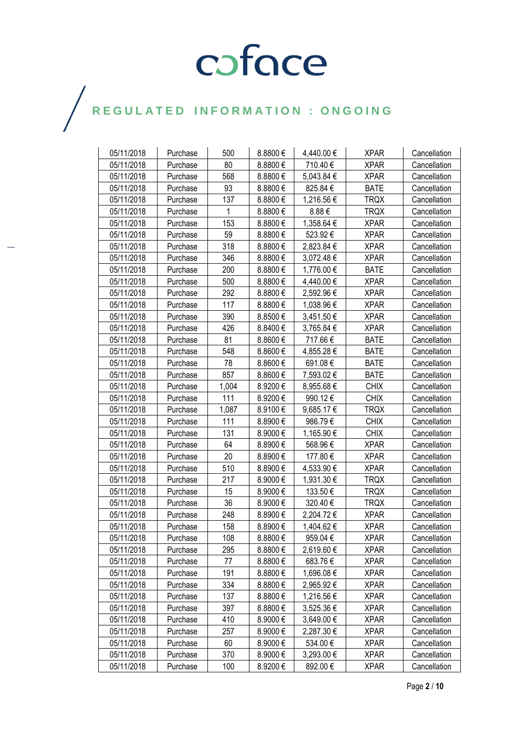| 05/11/2018 | Purchase | 500   | 8.8800€      | 4,440.00 € | <b>XPAR</b> | Cancellation |
|------------|----------|-------|--------------|------------|-------------|--------------|
| 05/11/2018 | Purchase | 80    | 8.8800€      | 710.40€    | <b>XPAR</b> | Cancellation |
| 05/11/2018 | Purchase | 568   | 8.8800€      | 5,043.84 € | <b>XPAR</b> | Cancellation |
| 05/11/2018 | Purchase | 93    | 8.8800€      | 825.84 €   | <b>BATE</b> | Cancellation |
| 05/11/2018 | Purchase | 137   | 8.8800€      | 1,216.56€  | <b>TRQX</b> | Cancellation |
| 05/11/2018 | Purchase | 1     | 8.8800€      | 8.88€      | <b>TRQX</b> | Cancellation |
| 05/11/2018 | Purchase | 153   | 8.8800€      | 1,358.64 € | <b>XPAR</b> | Cancellation |
| 05/11/2018 | Purchase | 59    | 8.8800€      | 523.92€    | <b>XPAR</b> | Cancellation |
| 05/11/2018 | Purchase | 318   | 8.8800€      | 2,823.84 € | <b>XPAR</b> | Cancellation |
| 05/11/2018 | Purchase | 346   | 8.8800€      | 3,072.48€  | <b>XPAR</b> | Cancellation |
| 05/11/2018 | Purchase | 200   | 8.8800€      | 1,776.00 € | <b>BATE</b> | Cancellation |
| 05/11/2018 | Purchase | 500   | 8.8800€      | 4,440.00 € | <b>XPAR</b> | Cancellation |
| 05/11/2018 | Purchase | 292   | 8.8800€      | 2,592.96€  | <b>XPAR</b> | Cancellation |
| 05/11/2018 | Purchase | 117   | 8.8800€      | 1,038.96 € | <b>XPAR</b> | Cancellation |
| 05/11/2018 | Purchase | 390   | 8.8500€      | 3,451.50 € | <b>XPAR</b> | Cancellation |
| 05/11/2018 | Purchase | 426   | 8.8400€      | 3,765.84 € | <b>XPAR</b> | Cancellation |
| 05/11/2018 | Purchase | 81    | 8.8600€      | 717.66€    | <b>BATE</b> | Cancellation |
| 05/11/2018 | Purchase | 548   | 8.8600€      | 4,855.28 € | <b>BATE</b> | Cancellation |
| 05/11/2018 | Purchase | 78    | 8.8600€      | 691.08€    | <b>BATE</b> | Cancellation |
| 05/11/2018 | Purchase | 857   | 8.8600€      | 7,593.02 € | <b>BATE</b> | Cancellation |
| 05/11/2018 | Purchase | 1,004 | 8.9200€      | 8,955.68€  | <b>CHIX</b> | Cancellation |
| 05/11/2018 | Purchase | 111   | 8.9200€      | 990.12€    | <b>CHIX</b> | Cancellation |
| 05/11/2018 | Purchase | 1,087 | 8.9100€      | 9,685.17 € | <b>TRQX</b> | Cancellation |
| 05/11/2018 | Purchase | 111   | 8.8900€      | 986.79€    | <b>CHIX</b> | Cancellation |
| 05/11/2018 | Purchase | 131   | 8.9000€      | 1,165.90 € | <b>CHIX</b> | Cancellation |
| 05/11/2018 | Purchase | 64    | 8.8900€      | 568.96€    | <b>XPAR</b> | Cancellation |
| 05/11/2018 | Purchase | 20    | 8.8900€      | 177.80€    | <b>XPAR</b> | Cancellation |
| 05/11/2018 | Purchase | 510   | 8.8900€      | 4,533.90 € | <b>XPAR</b> | Cancellation |
| 05/11/2018 | Purchase | 217   | 8.9000€      | 1,931.30 € | <b>TRQX</b> | Cancellation |
| 05/11/2018 | Purchase | 15    | 8.9000€      | 133.50€    | <b>TRQX</b> | Cancellation |
| 05/11/2018 | Purchase | 36    | 8.9000€      | 320.40€    | <b>TRQX</b> | Cancellation |
| 05/11/2018 | Purchase | 248   | 8.8900€      | 2,204.72€  | <b>XPAR</b> | Cancellation |
| 05/11/2018 | Purchase | 158   | 8.8900€      | 1,404.62 € | <b>XPAR</b> | Cancellation |
| 05/11/2018 | Purchase | 108   | 8.8800€      | 959.04 €   | <b>XPAR</b> | Cancellation |
| 05/11/2018 | Purchase | 295   | $8.8800 \in$ | 2,619.60 € | <b>XPAR</b> | Cancellation |
| 05/11/2018 | Purchase | 77    | $8.8800 \in$ | 683.76€    | <b>XPAR</b> | Cancellation |
| 05/11/2018 | Purchase | 191   | 8.8800€      | 1,696.08 € | <b>XPAR</b> | Cancellation |
| 05/11/2018 | Purchase | 334   | 8.8800€      | 2,965.92€  | <b>XPAR</b> | Cancellation |
| 05/11/2018 | Purchase | 137   | 8.8800€      | 1,216.56€  | <b>XPAR</b> | Cancellation |
| 05/11/2018 | Purchase | 397   | 8.8800€      | 3,525.36 € | <b>XPAR</b> | Cancellation |
| 05/11/2018 | Purchase | 410   | 8.9000€      | 3,649.00 € | <b>XPAR</b> | Cancellation |
| 05/11/2018 | Purchase | 257   | 8.9000€      | 2,287.30 € | <b>XPAR</b> | Cancellation |
| 05/11/2018 | Purchase | 60    | 8.9000€      | 534.00 €   | <b>XPAR</b> | Cancellation |
| 05/11/2018 | Purchase | 370   | 8.9000 $\in$ | 3,293.00 € | <b>XPAR</b> | Cancellation |
| 05/11/2018 | Purchase | 100   | 8.9200€      | 892.00€    | <b>XPAR</b> | Cancellation |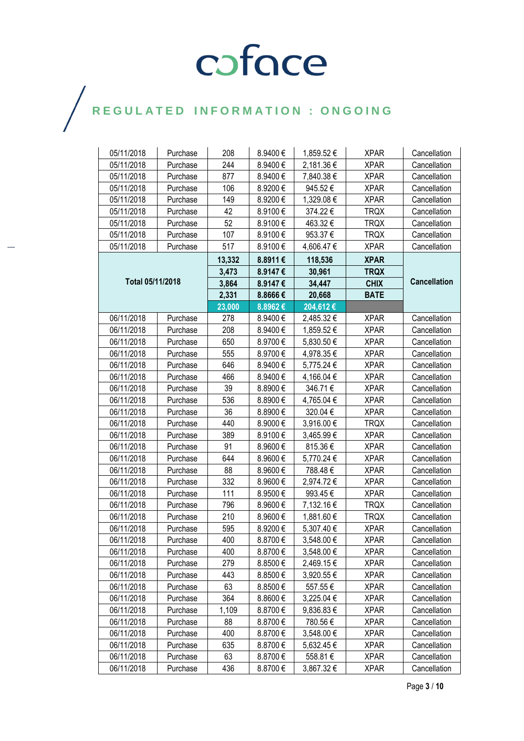| 05/11/2018       | Purchase | 208    | 8.9400€ | 1,859.52 € | <b>XPAR</b> | Cancellation        |
|------------------|----------|--------|---------|------------|-------------|---------------------|
| 05/11/2018       | Purchase | 244    | 8.9400€ | 2,181.36€  | <b>XPAR</b> | Cancellation        |
| 05/11/2018       | Purchase | 877    | 8.9400€ | 7,840.38 € | <b>XPAR</b> | Cancellation        |
| 05/11/2018       | Purchase | 106    | 8.9200€ | 945.52€    | <b>XPAR</b> | Cancellation        |
| 05/11/2018       | Purchase | 149    | 8.9200€ | 1,329.08 € | <b>XPAR</b> | Cancellation        |
| 05/11/2018       | Purchase | 42     | 8.9100€ | 374.22 €   | <b>TRQX</b> | Cancellation        |
| 05/11/2018       | Purchase | 52     | 8.9100€ | 463.32€    | <b>TRQX</b> | Cancellation        |
| 05/11/2018       | Purchase | 107    | 8.9100€ | 953.37€    | <b>TRQX</b> | Cancellation        |
| 05/11/2018       | Purchase | 517    | 8.9100€ | 4,606.47 € | <b>XPAR</b> | Cancellation        |
|                  |          | 13,332 | 8.8911€ | 118,536    | <b>XPAR</b> |                     |
|                  |          | 3,473  | 8.9147€ | 30,961     | <b>TRQX</b> |                     |
| Total 05/11/2018 |          | 3,864  | 8.9147€ | 34,447     | <b>CHIX</b> | <b>Cancellation</b> |
|                  |          | 2,331  | 8.8666€ | 20,668     | <b>BATE</b> |                     |
|                  |          | 23,000 | 8.8962€ | 204,612€   |             |                     |
| 06/11/2018       | Purchase | 278    | 8.9400€ | 2,485.32 € | <b>XPAR</b> | Cancellation        |
| 06/11/2018       | Purchase | 208    | 8.9400€ | 1,859.52 € | <b>XPAR</b> | Cancellation        |
| 06/11/2018       | Purchase | 650    | 8.9700€ | 5,830.50 € | <b>XPAR</b> | Cancellation        |
| 06/11/2018       | Purchase | 555    | 8.9700€ | 4,978.35 € | <b>XPAR</b> | Cancellation        |
| 06/11/2018       | Purchase | 646    | 8.9400€ | 5,775.24 € | <b>XPAR</b> | Cancellation        |
| 06/11/2018       | Purchase | 466    | 8.9400€ | 4,166.04 € | <b>XPAR</b> | Cancellation        |
| 06/11/2018       | Purchase | 39     | 8.8900€ | 346.71€    | <b>XPAR</b> | Cancellation        |
| 06/11/2018       | Purchase | 536    | 8.8900€ | 4,765.04 € | <b>XPAR</b> | Cancellation        |
| 06/11/2018       | Purchase | 36     | 8.8900€ | 320.04 €   | <b>XPAR</b> | Cancellation        |
| 06/11/2018       | Purchase | 440    | 8.9000€ | 3,916.00 € | <b>TRQX</b> | Cancellation        |
| 06/11/2018       | Purchase | 389    | 8.9100€ | 3,465.99€  | <b>XPAR</b> | Cancellation        |
| 06/11/2018       | Purchase | 91     | 8.9600€ | 815.36€    | <b>XPAR</b> | Cancellation        |
| 06/11/2018       | Purchase | 644    | 8.9600€ | 5,770.24 € | <b>XPAR</b> | Cancellation        |
| 06/11/2018       | Purchase | 88     | 8.9600€ | 788.48 €   | <b>XPAR</b> | Cancellation        |
| 06/11/2018       | Purchase | 332    | 8.9600€ | 2,974.72 € | <b>XPAR</b> | Cancellation        |
| 06/11/2018       | Purchase | 111    | 8.9500€ | 993.45€    | <b>XPAR</b> | Cancellation        |
| 06/11/2018       | Purchase | 796    | 8.9600€ | 7,132.16 € | <b>TRQX</b> | Cancellation        |
| 06/11/2018       | Purchase | 210    | 8.9600€ | 1,881.60 € | <b>TRQX</b> | Cancellation        |
| 06/11/2018       | Purchase | 595    | 8.9200€ | 5,307.40 € | <b>XPAR</b> | Cancellation        |
| 06/11/2018       | Purchase | 400    | 8.8700€ | 3,548.00 € | <b>XPAR</b> | Cancellation        |
| 06/11/2018       | Purchase | 400    | 8.8700€ | 3,548.00 € | <b>XPAR</b> | Cancellation        |
| 06/11/2018       | Purchase | 279    | 8.8500€ | 2,469.15€  | <b>XPAR</b> | Cancellation        |
| 06/11/2018       | Purchase | 443    | 8.8500€ | 3,920.55€  | <b>XPAR</b> | Cancellation        |
| 06/11/2018       | Purchase | 63     | 8.8500€ | 557.55€    | <b>XPAR</b> | Cancellation        |
| 06/11/2018       | Purchase | 364    | 8.8600€ | 3,225.04 € | <b>XPAR</b> | Cancellation        |
| 06/11/2018       | Purchase | 1,109  | 8.8700€ | 9,836.83€  | <b>XPAR</b> | Cancellation        |
| 06/11/2018       | Purchase | 88     | 8.8700€ | 780.56€    | <b>XPAR</b> | Cancellation        |
| 06/11/2018       | Purchase | 400    | 8.8700€ | 3,548.00 € | <b>XPAR</b> | Cancellation        |
| 06/11/2018       | Purchase | 635    | 8.8700€ | 5,632.45€  | <b>XPAR</b> | Cancellation        |
| 06/11/2018       | Purchase | 63     | 8.8700€ | 558.81€    | <b>XPAR</b> | Cancellation        |
| 06/11/2018       | Purchase | 436    | 8.8700€ | 3,867.32 € | <b>XPAR</b> | Cancellation        |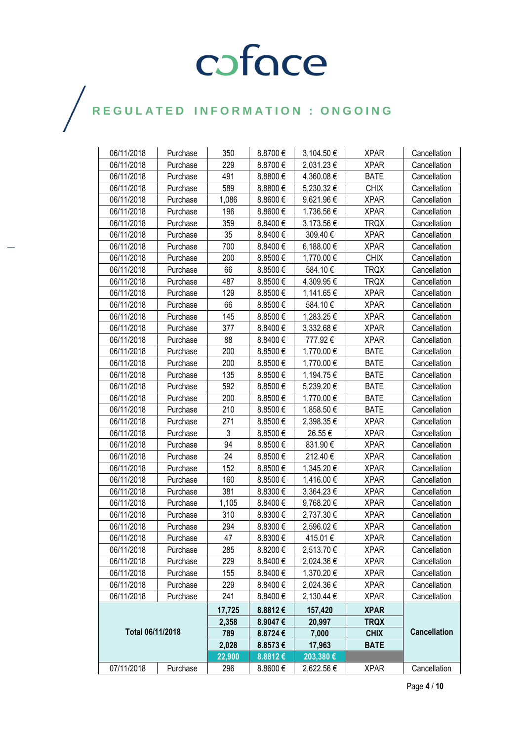| 06/11/2018       | Purchase | 350            | 8.8700€      | 3,104.50 € | <b>XPAR</b> | Cancellation        |
|------------------|----------|----------------|--------------|------------|-------------|---------------------|
| 06/11/2018       | Purchase | 229            | 8.8700€      | 2,031.23 € | <b>XPAR</b> | Cancellation        |
| 06/11/2018       | Purchase | 491            | 8.8800€      | 4,360.08 € | <b>BATE</b> | Cancellation        |
| 06/11/2018       | Purchase | 589            | 8.8800€      | 5,230.32 € | <b>CHIX</b> | Cancellation        |
| 06/11/2018       | Purchase | 1,086          | 8.8600€      | 9,621.96€  | <b>XPAR</b> | Cancellation        |
| 06/11/2018       | Purchase | 196            | 8.8600€      | 1,736.56 € | <b>XPAR</b> | Cancellation        |
| 06/11/2018       | Purchase | 359            | 8.8400€      | 3,173.56 € | <b>TRQX</b> | Cancellation        |
| 06/11/2018       | Purchase | 35             | 8.8400€      | 309.40€    | <b>XPAR</b> | Cancellation        |
| 06/11/2018       | Purchase | 700            | 8.8400€      | 6,188.00 € | <b>XPAR</b> | Cancellation        |
| 06/11/2018       | Purchase | 200            | 8.8500€      | 1,770.00 € | <b>CHIX</b> | Cancellation        |
| 06/11/2018       | Purchase | 66             | 8.8500€      | 584.10€    | <b>TRQX</b> | Cancellation        |
| 06/11/2018       | Purchase | 487            | 8.8500€      | 4,309.95 € | TRQX        | Cancellation        |
| 06/11/2018       | Purchase | 129            | 8.8500€      | 1,141.65 € | <b>XPAR</b> | Cancellation        |
| 06/11/2018       | Purchase | 66             | 8.8500€      | 584.10€    | <b>XPAR</b> | Cancellation        |
| 06/11/2018       | Purchase | 145            | 8.8500€      | 1,283.25 € | <b>XPAR</b> | Cancellation        |
| 06/11/2018       | Purchase | 377            | 8.8400€      | 3,332.68 € | <b>XPAR</b> | Cancellation        |
| 06/11/2018       | Purchase | 88             | 8.8400€      | 777.92€    | <b>XPAR</b> | Cancellation        |
| 06/11/2018       | Purchase | 200            | 8.8500€      | 1,770.00 € | <b>BATE</b> | Cancellation        |
| 06/11/2018       | Purchase | 200            | 8.8500€      | 1,770.00 € | BATE        | Cancellation        |
| 06/11/2018       | Purchase | 135            | 8.8500€      | 1,194.75 € | <b>BATE</b> | Cancellation        |
| 06/11/2018       | Purchase | 592            | 8.8500€      | 5,239.20 € | <b>BATE</b> | Cancellation        |
| 06/11/2018       | Purchase | 200            | 8.8500€      | 1,770.00 € | <b>BATE</b> | Cancellation        |
| 06/11/2018       | Purchase | 210            | 8.8500€      | 1,858.50 € | <b>BATE</b> | Cancellation        |
| 06/11/2018       | Purchase | 271            | 8.8500€      | 2,398.35 € | <b>XPAR</b> | Cancellation        |
| 06/11/2018       | Purchase | $\mathfrak{Z}$ | 8.8500€      | 26.55€     | <b>XPAR</b> | Cancellation        |
| 06/11/2018       | Purchase | 94             | 8.8500€      | 831.90€    | <b>XPAR</b> | Cancellation        |
| 06/11/2018       | Purchase | 24             | 8.8500€      | 212.40€    | <b>XPAR</b> | Cancellation        |
| 06/11/2018       | Purchase | 152            | 8.8500€      | 1,345.20 € | <b>XPAR</b> | Cancellation        |
| 06/11/2018       | Purchase | 160            | 8.8500€      | 1,416.00 € | <b>XPAR</b> | Cancellation        |
| 06/11/2018       | Purchase | 381            | 8.8300€      | 3,364.23 € | <b>XPAR</b> | Cancellation        |
| 06/11/2018       | Purchase | 1,105          | 8.8400€      | 9,768.20 € | <b>XPAR</b> | Cancellation        |
| 06/11/2018       | Purchase | 310            | 8.8300€      | 2,737.30 € | <b>XPAR</b> | Cancellation        |
| 06/11/2018       | Purchase | 294            | 8.8300€      | 2,596.02€  | <b>XPAR</b> | Cancellation        |
| 06/11/2018       | Purchase | 47             | 8.8300€      | 415.01€    | <b>XPAR</b> | Cancellation        |
| 06/11/2018       | Purchase | 285            | 8.8200€      | 2,513.70 € | <b>XPAR</b> | Cancellation        |
| 06/11/2018       | Purchase | 229            | 8.8400 €     | 2,024.36 € | <b>XPAR</b> | Cancellation        |
| 06/11/2018       | Purchase | 155            | 8.8400€      | 1,370.20€  | <b>XPAR</b> | Cancellation        |
| 06/11/2018       | Purchase | 229            | 8.8400 €     | 2,024.36 € | <b>XPAR</b> | Cancellation        |
| 06/11/2018       | Purchase | 241            | $8.8400 \in$ | 2,130.44 € | <b>XPAR</b> | Cancellation        |
|                  |          | 17,725         | 8.8812€      | 157,420    | <b>XPAR</b> |                     |
|                  |          | 2,358          | $8.9047 \in$ | 20,997     | <b>TRQX</b> |                     |
| Total 06/11/2018 |          | 789            | 8.8724€      | 7,000      | <b>CHIX</b> | <b>Cancellation</b> |
|                  |          | 2,028          | 8.8573€      | 17,963     | <b>BATE</b> |                     |
|                  |          | 22,900         | 8.8812€      | 203,380€   |             |                     |
| 07/11/2018       | Purchase | 296            | 8.8600 €     | 2,622.56 € | <b>XPAR</b> | Cancellation        |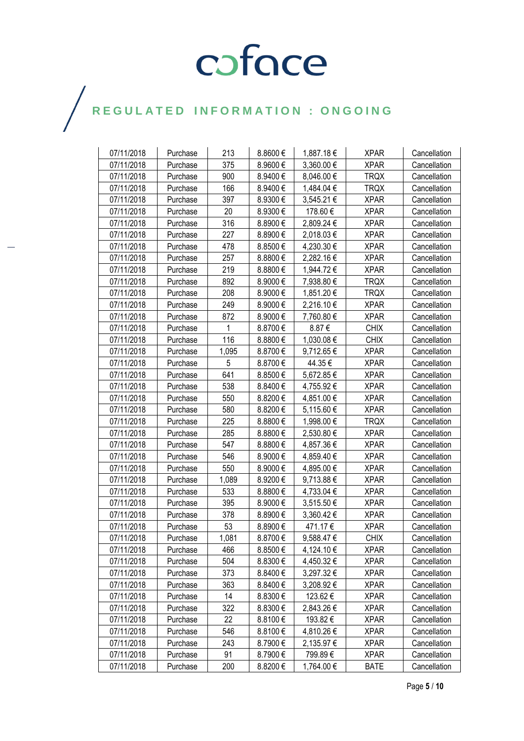| 07/11/2018 | Purchase | 213   | 8.8600€ | 1,887.18 € | <b>XPAR</b> | Cancellation |
|------------|----------|-------|---------|------------|-------------|--------------|
| 07/11/2018 | Purchase | 375   | 8.9600€ | 3,360.00€  | <b>XPAR</b> | Cancellation |
| 07/11/2018 | Purchase | 900   | 8.9400€ | 8,046.00 € | TRQX        | Cancellation |
| 07/11/2018 | Purchase | 166   | 8.9400€ | 1,484.04 € | <b>TRQX</b> | Cancellation |
| 07/11/2018 | Purchase | 397   | 8.9300€ | 3,545.21 € | <b>XPAR</b> | Cancellation |
| 07/11/2018 | Purchase | 20    | 8.9300€ | 178.60€    | <b>XPAR</b> | Cancellation |
| 07/11/2018 | Purchase | 316   | 8.8900€ | 2,809.24 € | <b>XPAR</b> | Cancellation |
| 07/11/2018 | Purchase | 227   | 8.8900€ | 2,018.03 € | <b>XPAR</b> | Cancellation |
| 07/11/2018 | Purchase | 478   | 8.8500€ | 4,230.30 € | <b>XPAR</b> | Cancellation |
| 07/11/2018 | Purchase | 257   | 8.8800€ | 2,282.16€  | <b>XPAR</b> | Cancellation |
| 07/11/2018 | Purchase | 219   | 8.8800€ | 1,944.72 € | <b>XPAR</b> | Cancellation |
| 07/11/2018 | Purchase | 892   | 8.9000€ | 7,938.80 € | <b>TRQX</b> | Cancellation |
| 07/11/2018 | Purchase | 208   | 8.9000€ | 1,851.20 € | <b>TRQX</b> | Cancellation |
| 07/11/2018 | Purchase | 249   | 8.9000€ | 2,216.10 € | <b>XPAR</b> | Cancellation |
| 07/11/2018 | Purchase | 872   | 8.9000€ | 7,760.80 € | <b>XPAR</b> | Cancellation |
| 07/11/2018 | Purchase | 1     | 8.8700€ | 8.87€      | <b>CHIX</b> | Cancellation |
| 07/11/2018 | Purchase | 116   | 8.8800€ | 1,030.08€  | <b>CHIX</b> | Cancellation |
| 07/11/2018 | Purchase | 1,095 | 8.8700€ | 9,712.65 € | <b>XPAR</b> | Cancellation |
| 07/11/2018 | Purchase | 5     | 8.8700€ | 44.35 €    | <b>XPAR</b> | Cancellation |
| 07/11/2018 | Purchase | 641   | 8.8500€ | 5,672.85€  | <b>XPAR</b> | Cancellation |
| 07/11/2018 | Purchase | 538   | 8.8400€ | 4,755.92 € | <b>XPAR</b> | Cancellation |
| 07/11/2018 | Purchase | 550   | 8.8200€ | 4,851.00 € | <b>XPAR</b> | Cancellation |
| 07/11/2018 | Purchase | 580   | 8.8200€ | 5,115.60 € | <b>XPAR</b> | Cancellation |
| 07/11/2018 | Purchase | 225   | 8.8800€ | 1,998.00 € | TRQX        | Cancellation |
| 07/11/2018 | Purchase | 285   | 8.8800€ | 2,530.80 € | <b>XPAR</b> | Cancellation |
| 07/11/2018 | Purchase | 547   | 8.8800€ | 4,857.36 € | <b>XPAR</b> | Cancellation |
| 07/11/2018 | Purchase | 546   | 8.9000€ | 4,859.40 € | <b>XPAR</b> | Cancellation |
| 07/11/2018 | Purchase | 550   | 8.9000€ | 4,895.00 € | <b>XPAR</b> | Cancellation |
| 07/11/2018 | Purchase | 1,089 | 8.9200€ | 9,713.88 € | <b>XPAR</b> | Cancellation |
| 07/11/2018 | Purchase | 533   | 8.8800€ | 4,733.04 € | <b>XPAR</b> | Cancellation |
| 07/11/2018 | Purchase | 395   | 8.9000€ | 3,515.50 € | <b>XPAR</b> | Cancellation |
| 07/11/2018 | Purchase | 378   | 8.8900€ | 3,360.42 € | <b>XPAR</b> | Cancellation |
| 07/11/2018 | Purchase | 53    | 8.8900€ | 471.17€    | <b>XPAR</b> | Cancellation |
| 07/11/2018 | Purchase | 1,081 | 8.8700€ | 9,588.47 € | <b>CHIX</b> | Cancellation |
| 07/11/2018 | Purchase | 466   | 8.8500€ | 4,124.10 € | <b>XPAR</b> | Cancellation |
| 07/11/2018 | Purchase | 504   | 8.8300€ | 4,450.32 € | <b>XPAR</b> | Cancellation |
| 07/11/2018 | Purchase | 373   | 8.8400€ | 3,297.32 € | <b>XPAR</b> | Cancellation |
| 07/11/2018 | Purchase | 363   | 8.8400€ | 3,208.92 € | <b>XPAR</b> | Cancellation |
| 07/11/2018 | Purchase | 14    | 8.8300€ | 123.62 €   | <b>XPAR</b> | Cancellation |
| 07/11/2018 | Purchase | 322   | 8.8300€ | 2,843.26 € | <b>XPAR</b> | Cancellation |
| 07/11/2018 | Purchase | 22    | 8.8100€ | 193.82 €   | <b>XPAR</b> | Cancellation |
| 07/11/2018 | Purchase | 546   | 8.8100€ | 4,810.26 € | <b>XPAR</b> | Cancellation |
| 07/11/2018 | Purchase | 243   | 8.7900€ | 2,135.97 € | <b>XPAR</b> | Cancellation |
| 07/11/2018 | Purchase | 91    | 8.7900€ | 799.89€    | <b>XPAR</b> | Cancellation |
| 07/11/2018 | Purchase | 200   | 8.8200€ | 1,764.00 € | <b>BATE</b> | Cancellation |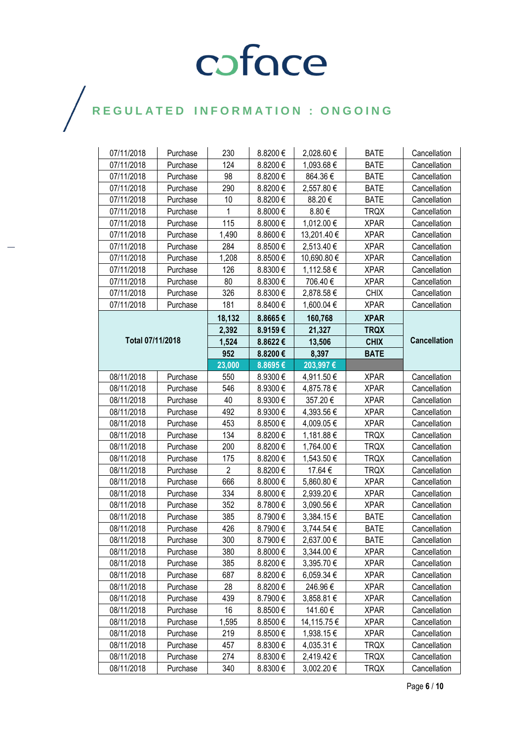| 07/11/2018       | Purchase | 230            | 8.8200€ | 2,028.60 €  | <b>BATE</b> | Cancellation        |
|------------------|----------|----------------|---------|-------------|-------------|---------------------|
| 07/11/2018       | Purchase | 124            | 8.8200€ | 1,093.68 €  | <b>BATE</b> | Cancellation        |
| 07/11/2018       | Purchase | 98             | 8.8200€ | 864.36€     | <b>BATE</b> | Cancellation        |
| 07/11/2018       | Purchase | 290            | 8.8200€ | 2,557.80 €  | <b>BATE</b> | Cancellation        |
| 07/11/2018       | Purchase | 10             | 8.8200€ | 88.20€      | <b>BATE</b> | Cancellation        |
| 07/11/2018       | Purchase | 1              | 8.8000€ | 8.80€       | <b>TRQX</b> | Cancellation        |
| 07/11/2018       | Purchase | 115            | 8.8000€ | 1,012.00 €  | <b>XPAR</b> | Cancellation        |
| 07/11/2018       | Purchase | 1,490          | 8.8600€ | 13,201.40 € | <b>XPAR</b> | Cancellation        |
| 07/11/2018       | Purchase | 284            | 8.8500€ | 2,513.40 €  | <b>XPAR</b> | Cancellation        |
| 07/11/2018       | Purchase | 1,208          | 8.8500€ | 10,690.80 € | <b>XPAR</b> | Cancellation        |
| 07/11/2018       | Purchase | 126            | 8.8300€ | 1,112.58 €  | <b>XPAR</b> | Cancellation        |
| 07/11/2018       | Purchase | 80             | 8.8300€ | 706.40€     | <b>XPAR</b> | Cancellation        |
| 07/11/2018       | Purchase | 326            | 8.8300€ | 2,878.58€   | <b>CHIX</b> | Cancellation        |
| 07/11/2018       | Purchase | 181            | 8.8400€ | 1,600.04 €  | <b>XPAR</b> | Cancellation        |
|                  |          | 18,132         | 8.8665€ | 160,768     | <b>XPAR</b> |                     |
|                  |          | 2,392          | 8.9159€ | 21,327      | <b>TRQX</b> |                     |
| Total 07/11/2018 |          | 1,524          | 8.8622€ | 13,506      | <b>CHIX</b> | <b>Cancellation</b> |
|                  |          | 952            | 8.8200€ | 8,397       | <b>BATE</b> |                     |
|                  |          | 23,000         | 8.8695€ | 203,997€    |             |                     |
| 08/11/2018       | Purchase | 550            | 8.9300€ | 4,911.50 €  | <b>XPAR</b> | Cancellation        |
| 08/11/2018       | Purchase | 546            | 8.9300€ | 4,875.78€   | <b>XPAR</b> | Cancellation        |
| 08/11/2018       | Purchase | 40             | 8.9300€ | 357.20€     | <b>XPAR</b> | Cancellation        |
| 08/11/2018       | Purchase | 492            | 8.9300€ | 4,393.56 €  | <b>XPAR</b> | Cancellation        |
| 08/11/2018       | Purchase | 453            | 8.8500€ | 4,009.05 €  | <b>XPAR</b> | Cancellation        |
| 08/11/2018       | Purchase | 134            | 8.8200€ | 1,181.88 €  | <b>TRQX</b> | Cancellation        |
| 08/11/2018       | Purchase | 200            | 8.8200€ | 1,764.00 €  | <b>TRQX</b> | Cancellation        |
| 08/11/2018       | Purchase | 175            | 8.8200€ | 1,543.50 €  | <b>TRQX</b> | Cancellation        |
| 08/11/2018       | Purchase | $\overline{2}$ | 8.8200€ | 17.64 €     | <b>TRQX</b> | Cancellation        |
| 08/11/2018       | Purchase | 666            | 8.8000€ | 5,860.80 €  | <b>XPAR</b> | Cancellation        |
| 08/11/2018       | Purchase | 334            | 8.8000€ | 2,939.20 €  | <b>XPAR</b> | Cancellation        |
| 08/11/2018       | Purchase | 352            | 8.7800€ | 3,090.56 €  | <b>XPAR</b> | Cancellation        |
| 08/11/2018       | Purchase | 385            | 8.7900€ | 3,384.15€   | <b>BATE</b> | Cancellation        |
| 08/11/2018       | Purchase | 426            | 8.7900€ | 3,744.54 €  | <b>BATE</b> | Cancellation        |
| 08/11/2018       | Purchase | 300            | 8.7900€ | 2,637.00 €  | <b>BATE</b> | Cancellation        |
| 08/11/2018       | Purchase | 380            | 8.8000€ | 3,344.00 €  | <b>XPAR</b> | Cancellation        |
| 08/11/2018       | Purchase | 385            | 8.8200€ | 3,395.70€   | <b>XPAR</b> | Cancellation        |
| 08/11/2018       | Purchase | 687            | 8.8200€ | 6,059.34 €  | <b>XPAR</b> | Cancellation        |
| 08/11/2018       | Purchase | 28             | 8.8200€ | 246.96€     | <b>XPAR</b> | Cancellation        |
| 08/11/2018       | Purchase | 439            | 8.7900€ | 3,858.81 €  | <b>XPAR</b> | Cancellation        |
| 08/11/2018       | Purchase | 16             | 8.8500€ | 141.60€     | <b>XPAR</b> | Cancellation        |
| 08/11/2018       | Purchase | 1,595          | 8.8500€ | 14,115.75 € | <b>XPAR</b> | Cancellation        |
| 08/11/2018       | Purchase | 219            | 8.8500€ | 1,938.15 €  | <b>XPAR</b> | Cancellation        |
| 08/11/2018       | Purchase | 457            | 8.8300€ | 4,035.31 €  | <b>TRQX</b> | Cancellation        |
| 08/11/2018       | Purchase | 274            | 8.8300€ | 2,419.42€   | <b>TRQX</b> | Cancellation        |
| 08/11/2018       | Purchase | 340            | 8.8300€ | 3,002.20 €  | <b>TRQX</b> | Cancellation        |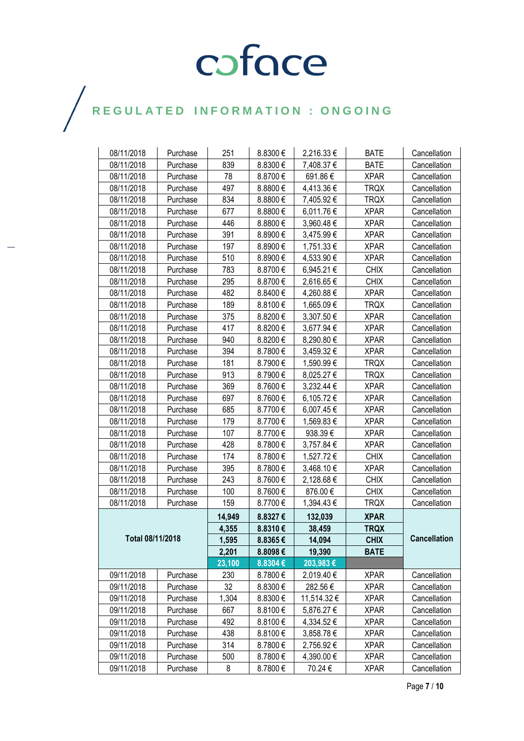| 08/11/2018       | Purchase | 251    | 8.8300€ | 2,216.33 €  | <b>BATE</b> | Cancellation        |
|------------------|----------|--------|---------|-------------|-------------|---------------------|
| 08/11/2018       | Purchase | 839    | 8.8300€ | 7,408.37 €  | <b>BATE</b> | Cancellation        |
| 08/11/2018       | Purchase | 78     | 8.8700€ | 691.86€     | <b>XPAR</b> | Cancellation        |
| 08/11/2018       | Purchase | 497    | 8.8800€ | 4,413.36 €  | <b>TRQX</b> | Cancellation        |
| 08/11/2018       | Purchase | 834    | 8.8800€ | 7,405.92 €  | TRQX        | Cancellation        |
| 08/11/2018       | Purchase | 677    | 8.8800€ | 6,011.76€   | <b>XPAR</b> | Cancellation        |
| 08/11/2018       | Purchase | 446    | 8.8800€ | 3,960.48€   | <b>XPAR</b> | Cancellation        |
| 08/11/2018       | Purchase | 391    | 8.8900€ | 3,475.99€   | <b>XPAR</b> | Cancellation        |
| 08/11/2018       | Purchase | 197    | 8.8900€ | 1,751.33 €  | <b>XPAR</b> | Cancellation        |
| 08/11/2018       | Purchase | 510    | 8.8900€ | 4,533.90 €  | <b>XPAR</b> | Cancellation        |
| 08/11/2018       | Purchase | 783    | 8.8700€ | 6,945.21€   | <b>CHIX</b> | Cancellation        |
| 08/11/2018       | Purchase | 295    | 8.8700€ | 2,616.65€   | <b>CHIX</b> | Cancellation        |
| 08/11/2018       | Purchase | 482    | 8.8400€ | 4,260.88 €  | <b>XPAR</b> | Cancellation        |
| 08/11/2018       | Purchase | 189    | 8.8100€ | 1,665.09€   | <b>TRQX</b> | Cancellation        |
| 08/11/2018       | Purchase | 375    | 8.8200€ | 3,307.50€   | <b>XPAR</b> | Cancellation        |
| 08/11/2018       | Purchase | 417    | 8.8200€ | 3,677.94 €  | <b>XPAR</b> | Cancellation        |
| 08/11/2018       | Purchase | 940    | 8.8200€ | 8,290.80 €  | <b>XPAR</b> | Cancellation        |
| 08/11/2018       | Purchase | 394    | 8.7800€ | 3,459.32€   | <b>XPAR</b> | Cancellation        |
| 08/11/2018       | Purchase | 181    | 8.7900€ | 1,590.99€   | <b>TRQX</b> | Cancellation        |
| 08/11/2018       | Purchase | 913    | 8.7900€ | 8,025.27 €  | <b>TRQX</b> | Cancellation        |
| 08/11/2018       | Purchase | 369    | 8.7600€ | 3,232.44 €  | <b>XPAR</b> | Cancellation        |
| 08/11/2018       | Purchase | 697    | 8.7600€ | 6,105.72€   | <b>XPAR</b> | Cancellation        |
| 08/11/2018       | Purchase | 685    | 8.7700€ | 6,007.45 €  | <b>XPAR</b> | Cancellation        |
| 08/11/2018       | Purchase | 179    | 8.7700€ | 1,569.83 €  | <b>XPAR</b> | Cancellation        |
| 08/11/2018       | Purchase | 107    | 8.7700€ | 938.39€     | <b>XPAR</b> | Cancellation        |
| 08/11/2018       | Purchase | 428    | 8.7800€ | 3,757.84 €  | <b>XPAR</b> | Cancellation        |
| 08/11/2018       | Purchase | 174    | 8.7800€ | 1,527.72€   | <b>CHIX</b> | Cancellation        |
| 08/11/2018       | Purchase | 395    | 8.7800€ | 3,468.10 €  | <b>XPAR</b> | Cancellation        |
| 08/11/2018       | Purchase | 243    | 8.7600€ | 2,128.68 €  | <b>CHIX</b> | Cancellation        |
| 08/11/2018       | Purchase | 100    | 8.7600€ | 876.00€     | <b>CHIX</b> | Cancellation        |
| 08/11/2018       | Purchase | 159    | 8.7700€ | 1,394.43€   | <b>TRQX</b> | Cancellation        |
|                  |          | 14,949 | 8.8327€ | 132,039     | <b>XPAR</b> |                     |
| Total 08/11/2018 |          | 4,355  | 8.8310€ | 38,459      | <b>TRQX</b> |                     |
|                  |          | 1,595  | 8.8365€ | 14,094      | <b>CHIX</b> | <b>Cancellation</b> |
|                  |          | 2,201  | 8.8098€ | 19,390      | <b>BATE</b> |                     |
|                  |          | 23,100 | 8.8304€ | 203,983€    |             |                     |
| 09/11/2018       | Purchase | 230    | 8.7800€ | 2,019.40€   | <b>XPAR</b> | Cancellation        |
| 09/11/2018       | Purchase | 32     | 8.8300€ | 282.56€     | <b>XPAR</b> | Cancellation        |
| 09/11/2018       | Purchase | 1,304  | 8.8300€ | 11,514.32 € | <b>XPAR</b> | Cancellation        |
| 09/11/2018       | Purchase | 667    | 8.8100€ | 5,876.27 €  | <b>XPAR</b> | Cancellation        |
| 09/11/2018       | Purchase | 492    | 8.8100€ | 4,334.52 €  | <b>XPAR</b> | Cancellation        |
| 09/11/2018       | Purchase | 438    | 8.8100€ | 3,858.78€   | <b>XPAR</b> | Cancellation        |
| 09/11/2018       | Purchase | 314    | 8.7800€ | 2,756.92€   | <b>XPAR</b> | Cancellation        |
| 09/11/2018       | Purchase | 500    | 8.7800€ | 4,390.00 €  | <b>XPAR</b> | Cancellation        |
| 09/11/2018       | Purchase | 8      | 8.7800€ | 70.24 €     | <b>XPAR</b> | Cancellation        |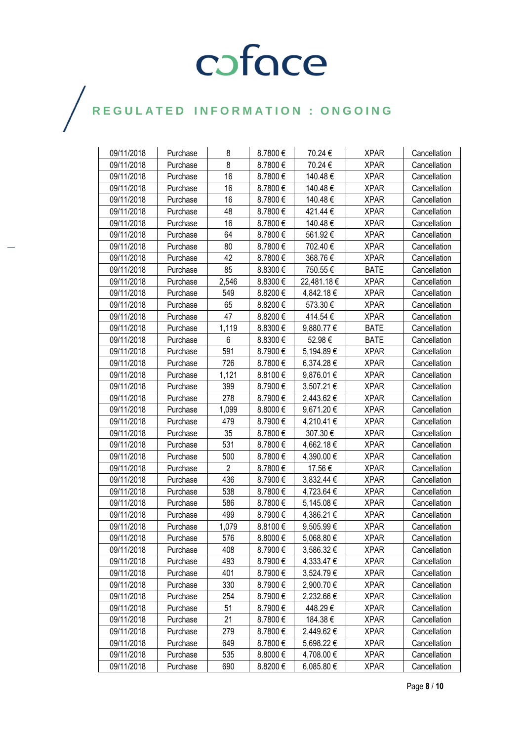| 09/11/2018 | Purchase | 8     | 8.7800€      | 70.24 €     | <b>XPAR</b> | Cancellation |
|------------|----------|-------|--------------|-------------|-------------|--------------|
| 09/11/2018 | Purchase | 8     | 8.7800€      | 70.24€      | <b>XPAR</b> | Cancellation |
| 09/11/2018 | Purchase | 16    | 8.7800€      | 140.48€     | <b>XPAR</b> | Cancellation |
| 09/11/2018 | Purchase | 16    | 8.7800€      | 140.48€     | <b>XPAR</b> | Cancellation |
| 09/11/2018 | Purchase | 16    | 8.7800€      | 140.48€     | <b>XPAR</b> | Cancellation |
| 09/11/2018 | Purchase | 48    | 8.7800€      | 421.44 €    | <b>XPAR</b> | Cancellation |
| 09/11/2018 | Purchase | 16    | 8.7800€      | 140.48€     | <b>XPAR</b> | Cancellation |
| 09/11/2018 | Purchase | 64    | 8.7800€      | 561.92€     | <b>XPAR</b> | Cancellation |
| 09/11/2018 | Purchase | 80    | 8.7800€      | 702.40 €    | <b>XPAR</b> | Cancellation |
| 09/11/2018 | Purchase | 42    | 8.7800€      | 368.76€     | <b>XPAR</b> | Cancellation |
| 09/11/2018 | Purchase | 85    | 8.8300€      | 750.55€     | <b>BATE</b> | Cancellation |
| 09/11/2018 | Purchase | 2,546 | 8.8300 €     | 22,481.18 € | <b>XPAR</b> | Cancellation |
| 09/11/2018 | Purchase | 549   | 8.8200€      | 4,842.18€   | <b>XPAR</b> | Cancellation |
| 09/11/2018 | Purchase | 65    | 8.8200€      | 573.30€     | <b>XPAR</b> | Cancellation |
| 09/11/2018 | Purchase | 47    | 8.8200€      | 414.54€     | <b>XPAR</b> | Cancellation |
| 09/11/2018 | Purchase | 1,119 | 8.8300€      | 9,880.77 €  | <b>BATE</b> | Cancellation |
| 09/11/2018 | Purchase | 6     | 8.8300€      | 52.98€      | <b>BATE</b> | Cancellation |
| 09/11/2018 | Purchase | 591   | 8.7900€      | 5,194.89€   | <b>XPAR</b> | Cancellation |
| 09/11/2018 | Purchase | 726   | 8.7800€      | 6,374.28€   | <b>XPAR</b> | Cancellation |
| 09/11/2018 | Purchase | 1,121 | 8.8100€      | 9,876.01 €  | <b>XPAR</b> | Cancellation |
| 09/11/2018 | Purchase | 399   | 8.7900€      | 3,507.21 €  | <b>XPAR</b> | Cancellation |
| 09/11/2018 | Purchase | 278   | 8.7900€      | 2,443.62 €  | <b>XPAR</b> | Cancellation |
| 09/11/2018 | Purchase | 1,099 | 8.8000€      | 9,671.20 €  | <b>XPAR</b> | Cancellation |
| 09/11/2018 | Purchase | 479   | 8.7900€      | 4,210.41 €  | <b>XPAR</b> | Cancellation |
| 09/11/2018 | Purchase | 35    | 8.7800€      | 307.30€     | <b>XPAR</b> | Cancellation |
| 09/11/2018 | Purchase | 531   | 8.7800€      | 4,662.18 €  | <b>XPAR</b> | Cancellation |
| 09/11/2018 | Purchase | 500   | 8.7800€      | 4,390.00 €  | <b>XPAR</b> | Cancellation |
| 09/11/2018 | Purchase | 2     | 8.7800€      | 17.56 €     | <b>XPAR</b> | Cancellation |
| 09/11/2018 | Purchase | 436   | 8.7900€      | 3,832.44 €  | <b>XPAR</b> | Cancellation |
| 09/11/2018 | Purchase | 538   | 8.7800€      | 4,723.64 €  | <b>XPAR</b> | Cancellation |
| 09/11/2018 | Purchase | 586   | 8.7800€      | 5,145.08 €  | <b>XPAR</b> | Cancellation |
| 09/11/2018 | Purchase | 499   | 8.7900€      | 4,386.21 €  | <b>XPAR</b> | Cancellation |
| 09/11/2018 | Purchase | 1,079 | 8.8100€      | 9,505.99€   | <b>XPAR</b> | Cancellation |
| 09/11/2018 | Purchase | 576   | 8.8000€      | 5,068.80€   | <b>XPAR</b> | Cancellation |
| 09/11/2018 | Purchase | 408   | 8.7900€      | 3,586.32 €  | <b>XPAR</b> | Cancellation |
| 09/11/2018 | Purchase | 493   | 8.7900€      | 4,333.47 €  | <b>XPAR</b> | Cancellation |
| 09/11/2018 | Purchase | 401   | 8.7900€      | 3,524.79€   | <b>XPAR</b> | Cancellation |
| 09/11/2018 | Purchase | 330   | 8.7900€      | 2,900.70 €  | <b>XPAR</b> | Cancellation |
| 09/11/2018 | Purchase | 254   | 8.7900€      | 2,232.66 €  | <b>XPAR</b> | Cancellation |
| 09/11/2018 | Purchase | 51    | 8.7900€      | 448.29€     | <b>XPAR</b> | Cancellation |
| 09/11/2018 | Purchase | 21    | 8.7800€      | 184.38€     | <b>XPAR</b> | Cancellation |
| 09/11/2018 | Purchase | 279   | 8.7800€      | 2,449.62 €  | <b>XPAR</b> | Cancellation |
| 09/11/2018 | Purchase | 649   | 8.7800€      | 5,698.22 €  | <b>XPAR</b> | Cancellation |
| 09/11/2018 | Purchase | 535   | $8.8000 \in$ | 4,708.00 €  | <b>XPAR</b> | Cancellation |
| 09/11/2018 | Purchase | 690   | 8.8200€      | 6,085.80 €  | <b>XPAR</b> | Cancellation |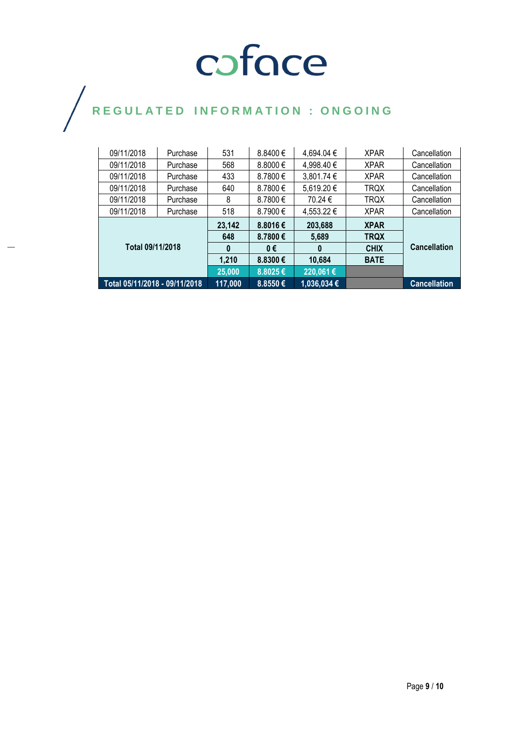| 09/11/2018                    | Purchase | 531     | $8.8400 \in$ | 4,694.04 €   | <b>XPAR</b> | Cancellation        |
|-------------------------------|----------|---------|--------------|--------------|-------------|---------------------|
| 09/11/2018                    | Purchase | 568     | 8.8000€      | 4,998.40 €   | <b>XPAR</b> | Cancellation        |
| 09/11/2018                    | Purchase | 433     | 8.7800€      | 3,801.74 €   | <b>XPAR</b> | Cancellation        |
| 09/11/2018                    | Purchase | 640     | 8.7800 €     | 5,619.20 €   | <b>TRQX</b> | Cancellation        |
| 09/11/2018                    | Purchase | 8       | 8.7800 €     | 70.24 €      | TRQX        | Cancellation        |
| 09/11/2018                    | Purchase | 518     | 8.7900€      | 4,553.22 €   | <b>XPAR</b> | Cancellation        |
| Total 09/11/2018              |          | 23,142  | 8.8016€      | 203,688      | <b>XPAR</b> |                     |
|                               |          | 648     | 8.7800€      | 5,689        | <b>TRQX</b> |                     |
|                               |          | 0       | 0€           | $\mathbf{0}$ | <b>CHIX</b> | <b>Cancellation</b> |
|                               |          | 1,210   | 8.8300€      | 10,684       | <b>BATE</b> |                     |
|                               |          | 25,000  | 8.8025€      | 220,061€     |             |                     |
| Total 05/11/2018 - 09/11/2018 |          | 117,000 | 8.8550€      | 1,036,034 €  |             | <b>Cancellation</b> |